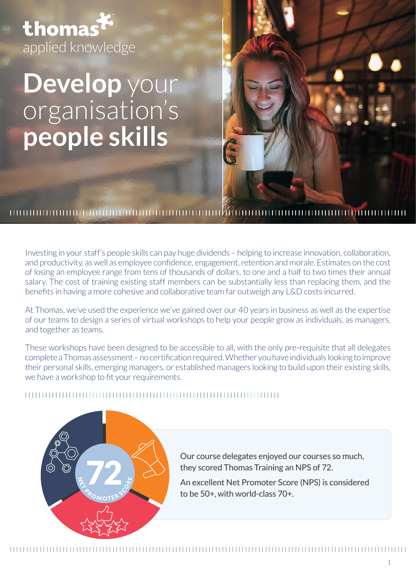thomas applied knowledge

# **Develop** your organisation's **people skills**



Investing in your staff's people skills can pay huge dividends – helping to increase innovation, collaboration, and productivity, as well as employee confidence, engagement, retention and morale. Estimates on the cost of losing an employee range from tens of thousands of dollars, to one and a half to two times their annual salary. The cost of training existing staff members can be substantially less than replacing them, and the benefits in having a more cohesive and collaborative team far outweigh any L&D costs incurred.

At Thomas, we've used the experience we've gained over our 40 years in business as well as the expertise of our teams to design a series of virtual workshops to help your people grow as individuals, as managers, and together as teams.

These workshops have been designed to be accessible to all, with the only pre-requisite that all delegates complete a Thomas assessment – no certification required. Whether you have individuals looking to improve their personal skills, emerging managers, or established managers looking to build upon their existing skills, we have a workshop to fit your requirements.

# 



Our course delegates enjoyed our courses so much, they scored Thomas Training an NPS of 72. An excellent Net Promoter Score (NPS) is considered to be 50+, with world-class 70+.